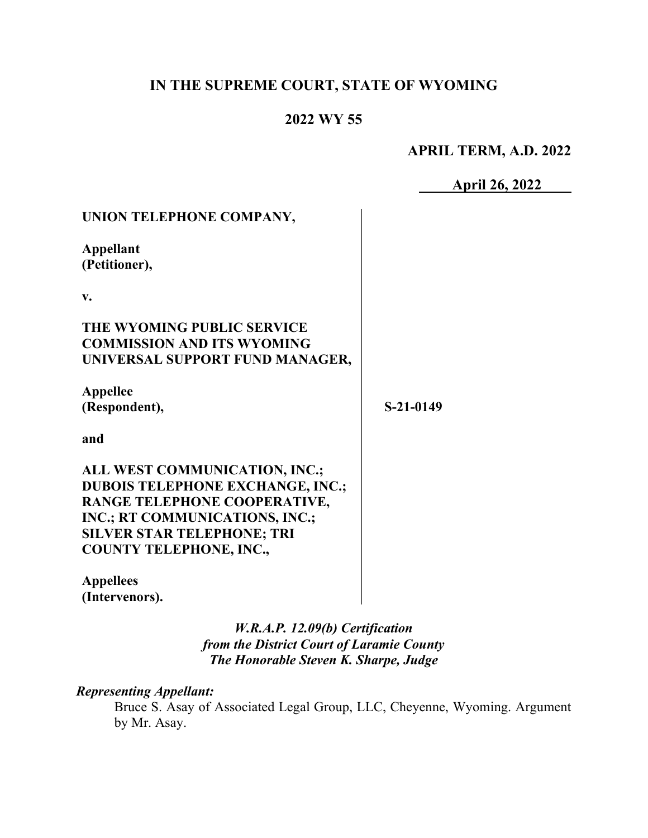## **IN THE SUPREME COURT, STATE OF WYOMING**

#### **2022 WY 55**

### **APRIL TERM, A.D. 2022**

**April 26, 2022** 

| UNION TELEPHONE COMPANY,                                                                                                                                                                                          |           |
|-------------------------------------------------------------------------------------------------------------------------------------------------------------------------------------------------------------------|-----------|
| <b>Appellant</b><br>(Petitioner),                                                                                                                                                                                 |           |
| v.                                                                                                                                                                                                                |           |
| THE WYOMING PUBLIC SERVICE<br><b>COMMISSION AND ITS WYOMING</b><br>UNIVERSAL SUPPORT FUND MANAGER,                                                                                                                |           |
| <b>Appellee</b><br>(Respondent),                                                                                                                                                                                  | S-21-0149 |
| and                                                                                                                                                                                                               |           |
| ALL WEST COMMUNICATION, INC.;<br><b>DUBOIS TELEPHONE EXCHANGE, INC.;</b><br>RANGE TELEPHONE COOPERATIVE,<br>INC.; RT COMMUNICATIONS, INC.;<br><b>SILVER STAR TELEPHONE; TRI</b><br><b>COUNTY TELEPHONE, INC.,</b> |           |
| <b>Appellees</b><br>(Intervenors).                                                                                                                                                                                |           |

*W.R.A.P. 12.09(b) Certification from the District Court of Laramie County The Honorable Steven K. Sharpe, Judge* 

#### *Representing Appellant:*

Bruce S. Asay of Associated Legal Group, LLC, Cheyenne, Wyoming. Argument by Mr. Asay.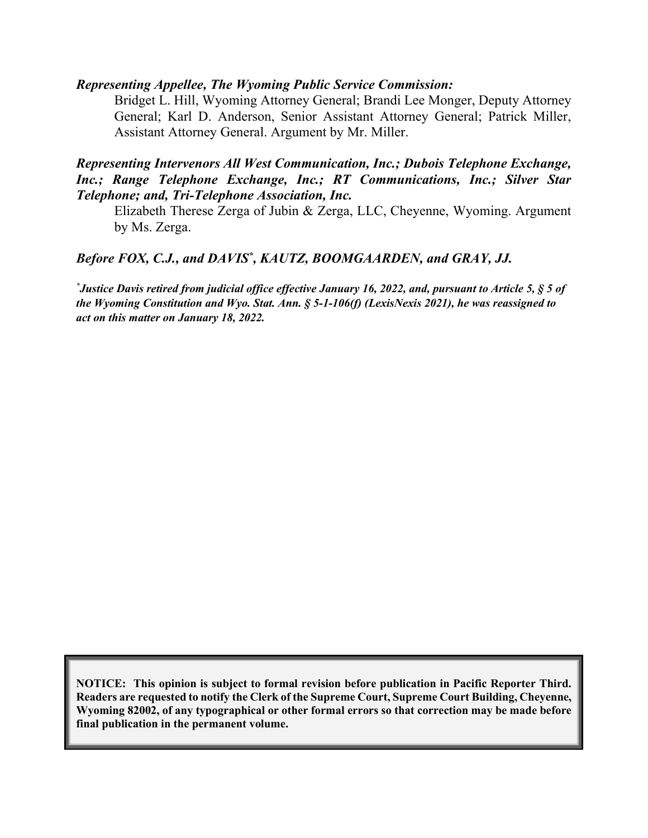#### *Representing Appellee, The Wyoming Public Service Commission:*

Bridget L. Hill, Wyoming Attorney General; Brandi Lee Monger, Deputy Attorney General; Karl D. Anderson, Senior Assistant Attorney General; Patrick Miller, Assistant Attorney General. Argument by Mr. Miller.

#### *Representing Intervenors All West Communication, Inc.; Dubois Telephone Exchange, Inc.; Range Telephone Exchange, Inc.; RT Communications, Inc.; Silver Star Telephone; and, Tri-Telephone Association, Inc.*

Elizabeth Therese Zerga of Jubin & Zerga, LLC, Cheyenne, Wyoming. Argument by Ms. Zerga.

#### Before FOX, C.J., and DAVIS<sup>\*</sup>, KAUTZ, BOOMGAARDEN, and GRAY, JJ.

*\* Justice Davis retired from judicial office effective January 16, 2022, and, pursuant to Article 5, § 5 of the Wyoming Constitution and Wyo. Stat. Ann. § 5-1-106(f) (LexisNexis 2021), he was reassigned to act on this matter on January 18, 2022.*

**NOTICE: This opinion is subject to formal revision before publication in Pacific Reporter Third. Readers are requested to notify the Clerk of the Supreme Court, Supreme Court Building, Cheyenne, Wyoming 82002, of any typographical or other formal errors so that correction may be made before final publication in the permanent volume.**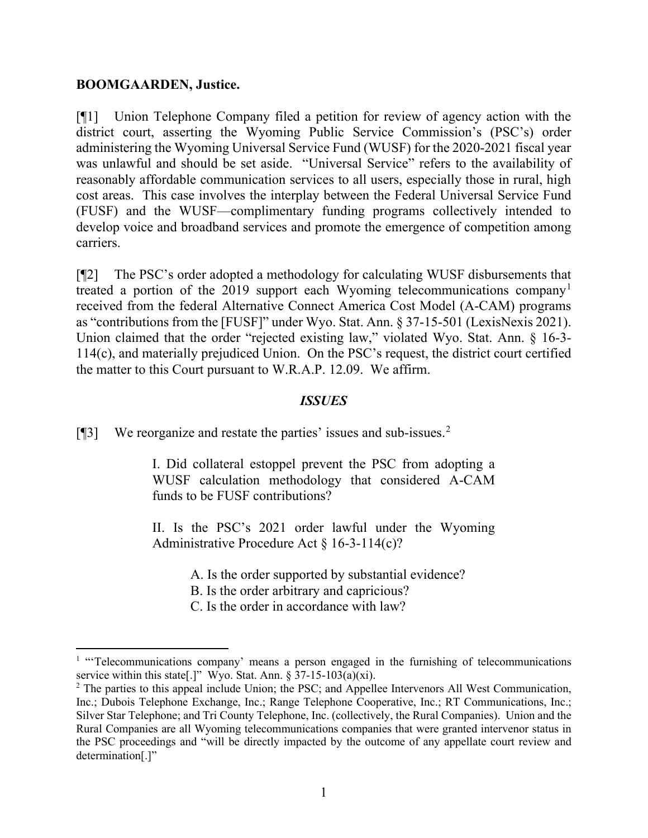#### **BOOMGAARDEN, Justice.**

[¶1] Union Telephone Company filed a petition for review of agency action with the district court, asserting the Wyoming Public Service Commission's (PSC's) order administering the Wyoming Universal Service Fund (WUSF) for the 2020-2021 fiscal year was unlawful and should be set aside. "Universal Service" refers to the availability of reasonably affordable communication services to all users, especially those in rural, high cost areas. This case involves the interplay between the Federal Universal Service Fund (FUSF) and the WUSF—complimentary funding programs collectively intended to develop voice and broadband services and promote the emergence of competition among carriers.

[¶2] The PSC's order adopted a methodology for calculating WUSF disbursements that treated a portion of the 20[1](#page-2-0)9 support each Wyoming telecommunications company<sup>1</sup> received from the federal Alternative Connect America Cost Model (A-CAM) programs as "contributions from the [FUSF]" under Wyo. Stat. Ann. § 37-15-501 (LexisNexis 2021). Union claimed that the order "rejected existing law," violated Wyo. Stat. Ann. § 16-3-114(c), and materially prejudiced Union. On the PSC's request, the district court certified the matter to this Court pursuant to W.R.A.P. 12.09. We affirm.

#### *ISSUES*

[¶3] We reorganize and restate the parties' issues and sub-issues.<sup>[2](#page-2-1)</sup>

I. Did collateral estoppel prevent the PSC from adopting a WUSF calculation methodology that considered A-CAM funds to be FUSF contributions?

II. Is the PSC's 2021 order lawful under the Wyoming Administrative Procedure Act § 16-3-114(c)?

A. Is the order supported by substantial evidence?

B. Is the order arbitrary and capricious?

C. Is the order in accordance with law?

<span id="page-2-0"></span><sup>&</sup>lt;sup>1</sup> "Telecommunications company' means a person engaged in the furnishing of telecommunications service within this state[.]" Wyo. Stat. Ann. § 37-15-103(a)(xi).

<span id="page-2-1"></span><sup>&</sup>lt;sup>2</sup> The parties to this appeal include Union; the PSC; and Appellee Intervenors All West Communication, Inc.; Dubois Telephone Exchange, Inc.; Range Telephone Cooperative, Inc.; RT Communications, Inc.; Silver Star Telephone; and Tri County Telephone, Inc. (collectively, the Rural Companies). Union and the Rural Companies are all Wyoming telecommunications companies that were granted intervenor status in the PSC proceedings and "will be directly impacted by the outcome of any appellate court review and determination[.]"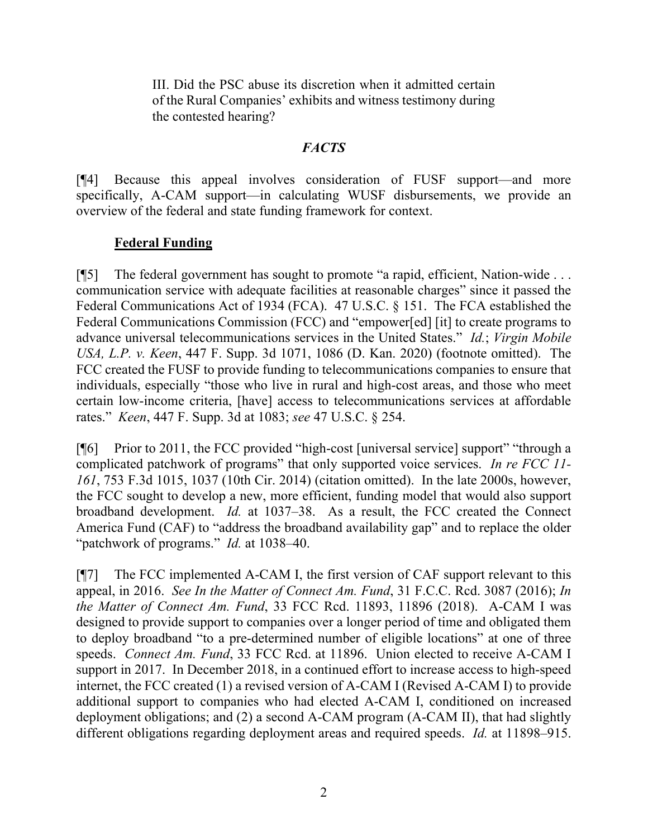III. Did the PSC abuse its discretion when it admitted certain of the Rural Companies' exhibits and witness testimony during the contested hearing?

#### *FACTS*

[¶4] Because this appeal involves consideration of FUSF support—and more specifically, A-CAM support—in calculating WUSF disbursements, we provide an overview of the federal and state funding framework for context.

### **Federal Funding**

[¶5] The federal government has sought to promote "a rapid, efficient, Nation-wide . . . communication service with adequate facilities at reasonable charges" since it passed the Federal Communications Act of 1934 (FCA). 47 U.S.C. § 151. The FCA established the Federal Communications Commission (FCC) and "empower[ed] [it] to create programs to advance universal telecommunications services in the United States." *Id.*; *Virgin Mobile USA, L.P. v. Keen*, 447 F. Supp. 3d 1071, 1086 (D. Kan. 2020) (footnote omitted). The FCC created the FUSF to provide funding to telecommunications companies to ensure that individuals, especially "those who live in rural and high-cost areas, and those who meet certain low-income criteria, [have] access to telecommunications services at affordable rates." *Keen*, 447 F. Supp. 3d at 1083; *see* 47 U.S.C. § 254.

[¶6] Prior to 2011, the FCC provided "high-cost [universal service] support" "through a complicated patchwork of programs" that only supported voice services. *In re FCC 11- 161*, 753 F.3d 1015, 1037 (10th Cir. 2014) (citation omitted). In the late 2000s, however, the FCC sought to develop a new, more efficient, funding model that would also support broadband development. *Id.* at 1037–38. As a result, the FCC created the Connect America Fund (CAF) to "address the broadband availability gap" and to replace the older "patchwork of programs." *Id.* at 1038–40.

[¶7] The FCC implemented A-CAM I, the first version of CAF support relevant to this appeal, in 2016. *See In the Matter of Connect Am. Fund*, 31 F.C.C. Rcd. 3087 (2016); *In the Matter of Connect Am. Fund*, 33 FCC Rcd. 11893, 11896 (2018). A-CAM I was designed to provide support to companies over a longer period of time and obligated them to deploy broadband "to a pre-determined number of eligible locations" at one of three speeds. *Connect Am. Fund*, 33 FCC Rcd. at 11896. Union elected to receive A-CAM I support in 2017. In December 2018, in a continued effort to increase access to high-speed internet, the FCC created (1) a revised version of A-CAM I (Revised A-CAM I) to provide additional support to companies who had elected A-CAM I, conditioned on increased deployment obligations; and (2) a second A-CAM program (A-CAM II), that had slightly different obligations regarding deployment areas and required speeds. *Id.* at 11898–915.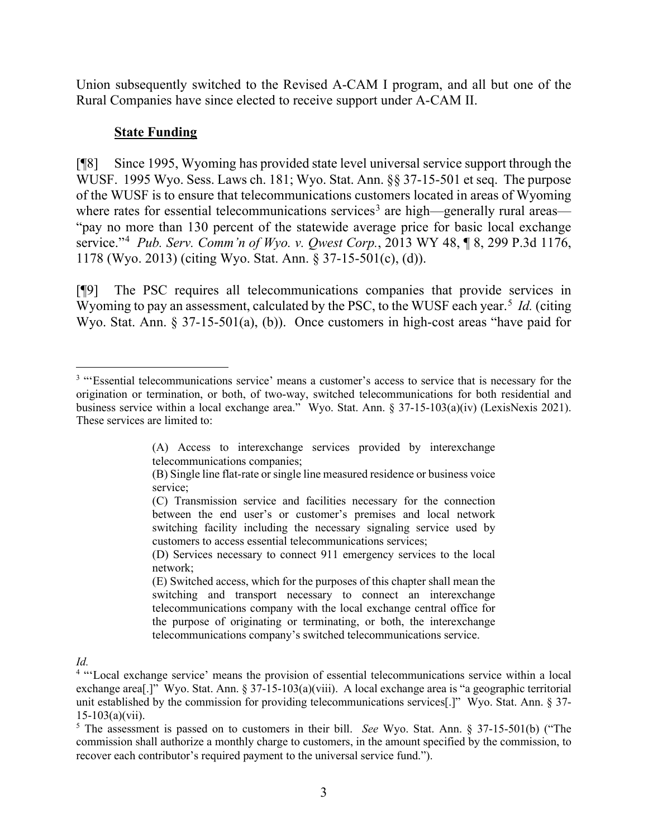Union subsequently switched to the Revised A-CAM I program, and all but one of the Rural Companies have since elected to receive support under A-CAM II.

#### **State Funding**

[¶8] Since 1995, Wyoming has provided state level universal service support through the WUSF. 1995 Wyo. Sess. Laws ch. 181; Wyo. Stat. Ann. §§ 37-15-501 et seq. The purpose of the WUSF is to ensure that telecommunications customers located in areas of Wyoming where rates for essential telecommunications services<sup>[3](#page-4-0)</sup> are high—generally rural areas— "pay no more than 130 percent of the statewide average price for basic local exchange service."[4](#page-4-1) *Pub. Serv. Comm'n of Wyo. v. Qwest Corp.*, 2013 WY 48, ¶ 8, 299 P.3d 1176, 1178 (Wyo. 2013) (citing Wyo. Stat. Ann. § 37-15-501(c), (d)).

[¶9] The PSC requires all telecommunications companies that provide services in Wyoming to pay an assessment, calculated by the PSC, to the WUSF each year.<sup>[5](#page-4-2)</sup> *Id.* (citing Wyo. Stat. Ann. § 37-15-501(a), (b)). Once customers in high-cost areas "have paid for

*Id.*

<span id="page-4-0"></span><sup>&</sup>lt;sup>3</sup> "Essential telecommunications service' means a customer's access to service that is necessary for the origination or termination, or both, of two-way, switched telecommunications for both residential and business service within a local exchange area." Wyo. Stat. Ann. § 37-15-103(a)(iv) (LexisNexis 2021). These services are limited to:

<sup>(</sup>A) Access to interexchange services provided by interexchange telecommunications companies;

<sup>(</sup>B) Single line flat-rate or single line measured residence or business voice service;

<sup>(</sup>C) Transmission service and facilities necessary for the connection between the end user's or customer's premises and local network switching facility including the necessary signaling service used by customers to access essential telecommunications services;

<sup>(</sup>D) Services necessary to connect 911 emergency services to the local network;

<sup>(</sup>E) Switched access, which for the purposes of this chapter shall mean the switching and transport necessary to connect an interexchange telecommunications company with the local exchange central office for the purpose of originating or terminating, or both, the interexchange telecommunications company's switched telecommunications service.

<span id="page-4-1"></span><sup>&</sup>lt;sup>4</sup> "Local exchange service' means the provision of essential telecommunications service within a local exchange area[.]" Wyo. Stat. Ann. § 37-15-103(a)(viii). A local exchange area is "a geographic territorial unit established by the commission for providing telecommunications services[.]" Wyo. Stat. Ann. § 37-  $15-103(a)(vii)$ .

<span id="page-4-2"></span><sup>5</sup> The assessment is passed on to customers in their bill. *See* Wyo. Stat. Ann. § 37-15-501(b) ("The commission shall authorize a monthly charge to customers, in the amount specified by the commission, to recover each contributor's required payment to the universal service fund.").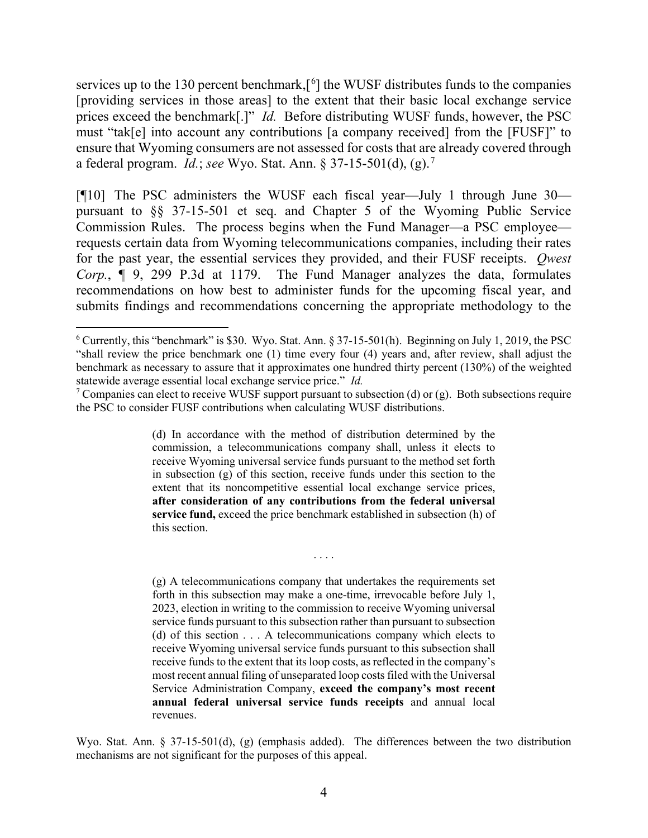services up to the 130 percent benchmark, $[6]$  $[6]$  $[6]$  the WUSF distributes funds to the companies [providing services in those areas] to the extent that their basic local exchange service prices exceed the benchmark[.]" *Id.* Before distributing WUSF funds, however, the PSC must "tak[e] into account any contributions [a company received] from the [FUSF]" to ensure that Wyoming consumers are not assessed for costs that are already covered through a federal program. *Id.*; *see* Wyo. Stat. Ann. § 37-15-501(d), (g).[7](#page-5-1)

[¶10] The PSC administers the WUSF each fiscal year—July 1 through June 30 pursuant to §§ 37-15-501 et seq. and Chapter 5 of the Wyoming Public Service Commission Rules. The process begins when the Fund Manager—a PSC employee requests certain data from Wyoming telecommunications companies, including their rates for the past year, the essential services they provided, and their FUSF receipts. *Qwest Corp.*, ¶ 9, 299 P.3d at 1179. The Fund Manager analyzes the data, formulates recommendations on how best to administer funds for the upcoming fiscal year, and submits findings and recommendations concerning the appropriate methodology to the

. . . .

(g) A telecommunications company that undertakes the requirements set forth in this subsection may make a one-time, irrevocable before July 1, 2023, election in writing to the commission to receive Wyoming universal service funds pursuant to this subsection rather than pursuant to subsection (d) of this section . . . A telecommunications company which elects to receive Wyoming universal service funds pursuant to this subsection shall receive funds to the extent that its loop costs, as reflected in the company's most recent annual filing of unseparated loop costs filed with the Universal Service Administration Company, **exceed the company's most recent annual federal universal service funds receipts** and annual local revenues.

Wyo. Stat. Ann. § 37-15-501(d), (g) (emphasis added). The differences between the two distribution mechanisms are not significant for the purposes of this appeal.

<span id="page-5-0"></span> $6$  Currently, this "benchmark" is \$30. Wyo. Stat. Ann. § 37-15-501(h). Beginning on July 1, 2019, the PSC "shall review the price benchmark one (1) time every four (4) years and, after review, shall adjust the benchmark as necessary to assure that it approximates one hundred thirty percent (130%) of the weighted statewide average essential local exchange service price." *Id.*

<span id="page-5-1"></span><sup>&</sup>lt;sup>7</sup> Companies can elect to receive WUSF support pursuant to subsection (d) or (g). Both subsections require the PSC to consider FUSF contributions when calculating WUSF distributions.

<sup>(</sup>d) In accordance with the method of distribution determined by the commission, a telecommunications company shall, unless it elects to receive Wyoming universal service funds pursuant to the method set forth in subsection (g) of this section, receive funds under this section to the extent that its noncompetitive essential local exchange service prices, **after consideration of any contributions from the federal universal service fund,** exceed the price benchmark established in subsection (h) of this section.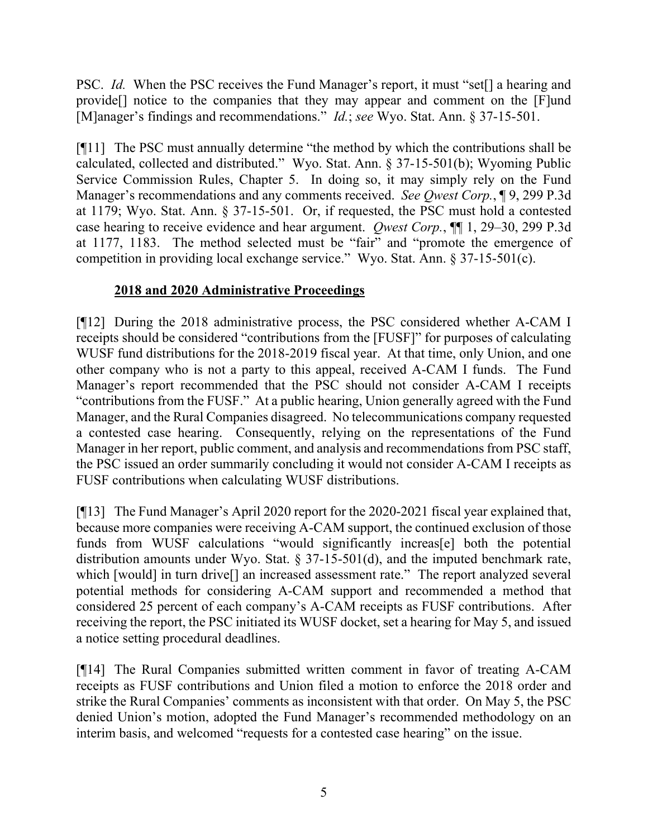PSC. *Id.* When the PSC receives the Fund Manager's report, it must "set[] a hearing and provide[] notice to the companies that they may appear and comment on the [F]und [M]anager's findings and recommendations." *Id.*; *see* Wyo. Stat. Ann. § 37-15-501.

[¶11] The PSC must annually determine "the method by which the contributions shall be calculated, collected and distributed." Wyo. Stat. Ann. § 37-15-501(b); Wyoming Public Service Commission Rules, Chapter 5. In doing so, it may simply rely on the Fund Manager's recommendations and any comments received. *See Qwest Corp.*, ¶ 9, 299 P.3d at 1179; Wyo. Stat. Ann. § 37-15-501. Or, if requested, the PSC must hold a contested case hearing to receive evidence and hear argument. *Qwest Corp.*, ¶¶ 1, 29–30, 299 P.3d at 1177, 1183. The method selected must be "fair" and "promote the emergence of competition in providing local exchange service." Wyo. Stat. Ann. § 37-15-501(c).

## **2018 and 2020 Administrative Proceedings**

[¶12] During the 2018 administrative process, the PSC considered whether A-CAM I receipts should be considered "contributions from the [FUSF]" for purposes of calculating WUSF fund distributions for the 2018-2019 fiscal year. At that time, only Union, and one other company who is not a party to this appeal, received A-CAM I funds. The Fund Manager's report recommended that the PSC should not consider A-CAM I receipts "contributions from the FUSF." At a public hearing, Union generally agreed with the Fund Manager, and the Rural Companies disagreed. No telecommunications company requested a contested case hearing. Consequently, relying on the representations of the Fund Manager in her report, public comment, and analysis and recommendations from PSC staff, the PSC issued an order summarily concluding it would not consider A-CAM I receipts as FUSF contributions when calculating WUSF distributions.

[¶13] The Fund Manager's April 2020 report for the 2020-2021 fiscal year explained that, because more companies were receiving A-CAM support, the continued exclusion of those funds from WUSF calculations "would significantly increas[e] both the potential distribution amounts under Wyo. Stat. § 37-15-501(d), and the imputed benchmark rate, which [would] in turn drive[] an increased assessment rate." The report analyzed several potential methods for considering A-CAM support and recommended a method that considered 25 percent of each company's A-CAM receipts as FUSF contributions. After receiving the report, the PSC initiated its WUSF docket, set a hearing for May 5, and issued a notice setting procedural deadlines.

[¶14] The Rural Companies submitted written comment in favor of treating A-CAM receipts as FUSF contributions and Union filed a motion to enforce the 2018 order and strike the Rural Companies' comments as inconsistent with that order. On May 5, the PSC denied Union's motion, adopted the Fund Manager's recommended methodology on an interim basis, and welcomed "requests for a contested case hearing" on the issue.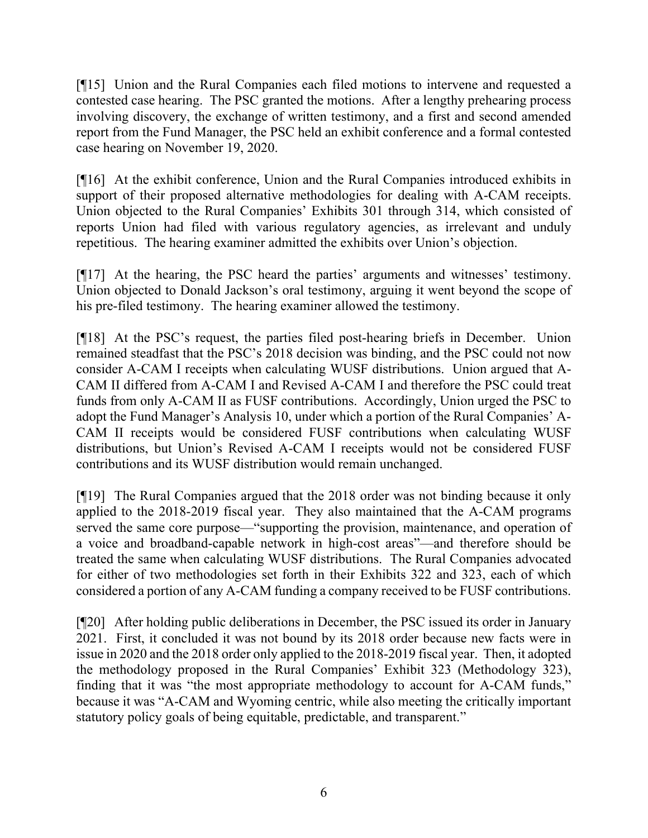[¶15] Union and the Rural Companies each filed motions to intervene and requested a contested case hearing. The PSC granted the motions. After a lengthy prehearing process involving discovery, the exchange of written testimony, and a first and second amended report from the Fund Manager, the PSC held an exhibit conference and a formal contested case hearing on November 19, 2020.

[¶16] At the exhibit conference, Union and the Rural Companies introduced exhibits in support of their proposed alternative methodologies for dealing with A-CAM receipts. Union objected to the Rural Companies' Exhibits 301 through 314, which consisted of reports Union had filed with various regulatory agencies, as irrelevant and unduly repetitious. The hearing examiner admitted the exhibits over Union's objection.

[¶17] At the hearing, the PSC heard the parties' arguments and witnesses' testimony. Union objected to Donald Jackson's oral testimony, arguing it went beyond the scope of his pre-filed testimony. The hearing examiner allowed the testimony.

[¶18] At the PSC's request, the parties filed post-hearing briefs in December. Union remained steadfast that the PSC's 2018 decision was binding, and the PSC could not now consider A-CAM I receipts when calculating WUSF distributions. Union argued that A-CAM II differed from A-CAM I and Revised A-CAM I and therefore the PSC could treat funds from only A-CAM II as FUSF contributions. Accordingly, Union urged the PSC to adopt the Fund Manager's Analysis 10, under which a portion of the Rural Companies' A-CAM II receipts would be considered FUSF contributions when calculating WUSF distributions, but Union's Revised A-CAM I receipts would not be considered FUSF contributions and its WUSF distribution would remain unchanged.

[¶19] The Rural Companies argued that the 2018 order was not binding because it only applied to the 2018-2019 fiscal year. They also maintained that the A-CAM programs served the same core purpose—"supporting the provision, maintenance, and operation of a voice and broadband-capable network in high-cost areas"—and therefore should be treated the same when calculating WUSF distributions. The Rural Companies advocated for either of two methodologies set forth in their Exhibits 322 and 323, each of which considered a portion of any A-CAM funding a company received to be FUSF contributions.

[¶20] After holding public deliberations in December, the PSC issued its order in January 2021. First, it concluded it was not bound by its 2018 order because new facts were in issue in 2020 and the 2018 order only applied to the 2018-2019 fiscal year. Then, it adopted the methodology proposed in the Rural Companies' Exhibit 323 (Methodology 323), finding that it was "the most appropriate methodology to account for A-CAM funds," because it was "A-CAM and Wyoming centric, while also meeting the critically important statutory policy goals of being equitable, predictable, and transparent."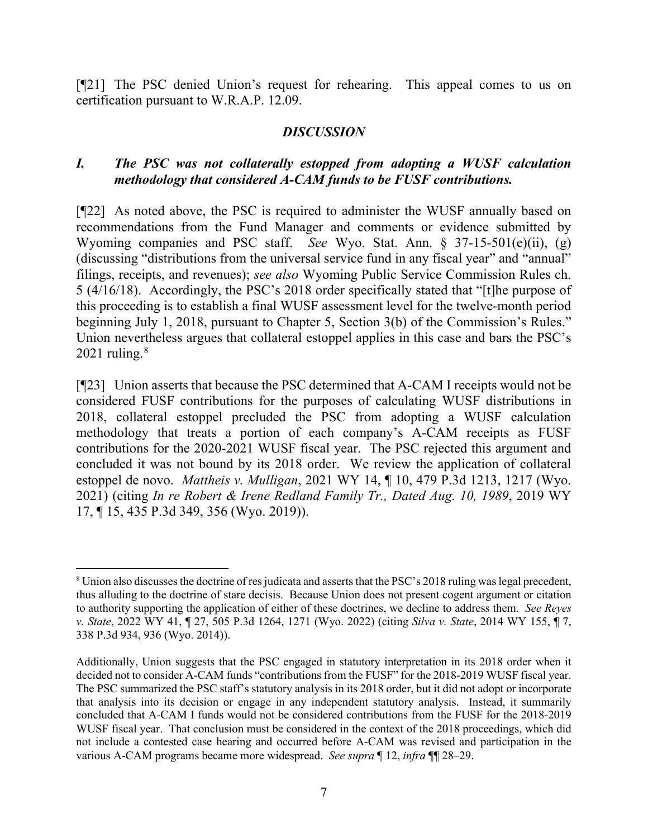[¶21] The PSC denied Union's request for rehearing. This appeal comes to us on certification pursuant to W.R.A.P. 12.09.

#### *DISCUSSION*

### *I. The PSC was not collaterally estopped from adopting a WUSF calculation methodology that considered A-CAM funds to be FUSF contributions.*

[¶22] As noted above, the PSC is required to administer the WUSF annually based on recommendations from the Fund Manager and comments or evidence submitted by Wyoming companies and PSC staff. *See* Wyo. Stat. Ann. § 37-15-501(e)(ii), (g) (discussing "distributions from the universal service fund in any fiscal year" and "annual" filings, receipts, and revenues); *see also* Wyoming Public Service Commission Rules ch. 5 (4/16/18). Accordingly, the PSC's 2018 order specifically stated that "[t]he purpose of this proceeding is to establish a final WUSF assessment level for the twelve-month period beginning July 1, 2018, pursuant to Chapter 5, Section 3(b) of the Commission's Rules." Union nevertheless argues that collateral estoppel applies in this case and bars the PSC's 2021 ruling. $8$ 

[¶23] Union asserts that because the PSC determined that A-CAM I receipts would not be considered FUSF contributions for the purposes of calculating WUSF distributions in 2018, collateral estoppel precluded the PSC from adopting a WUSF calculation methodology that treats a portion of each company's A-CAM receipts as FUSF contributions for the 2020-2021 WUSF fiscal year. The PSC rejected this argument and concluded it was not bound by its 2018 order. We review the application of collateral estoppel de novo. *Mattheis v. Mulligan*, 2021 WY 14, ¶ 10, 479 P.3d 1213, 1217 (Wyo. 2021) (citing *In re Robert & Irene Redland Family Tr., Dated Aug. 10, 1989*, 2019 WY 17, ¶ 15, 435 P.3d 349, 356 (Wyo. 2019)).

<span id="page-8-0"></span><sup>&</sup>lt;sup>8</sup> Union also discusses the doctrine of res judicata and asserts that the PSC's 2018 ruling was legal precedent, thus alluding to the doctrine of stare decisis. Because Union does not present cogent argument or citation to authority supporting the application of either of these doctrines, we decline to address them. *See Reyes v. State*, 2022 WY 41, ¶ 27, 505 P.3d 1264, 1271 (Wyo. 2022) (citing *Silva v. State*, 2014 WY 155, ¶ 7, 338 P.3d 934, 936 (Wyo. 2014)).

Additionally, Union suggests that the PSC engaged in statutory interpretation in its 2018 order when it decided not to consider A-CAM funds "contributions from the FUSF" for the 2018-2019 WUSF fiscal year. The PSC summarized the PSC staff's statutory analysis in its 2018 order, but it did not adopt or incorporate that analysis into its decision or engage in any independent statutory analysis. Instead, it summarily concluded that A-CAM I funds would not be considered contributions from the FUSF for the 2018-2019 WUSF fiscal year. That conclusion must be considered in the context of the 2018 proceedings, which did not include a contested case hearing and occurred before A-CAM was revised and participation in the various A-CAM programs became more widespread. *See supra* ¶ 12, *infra* ¶¶ 28–29.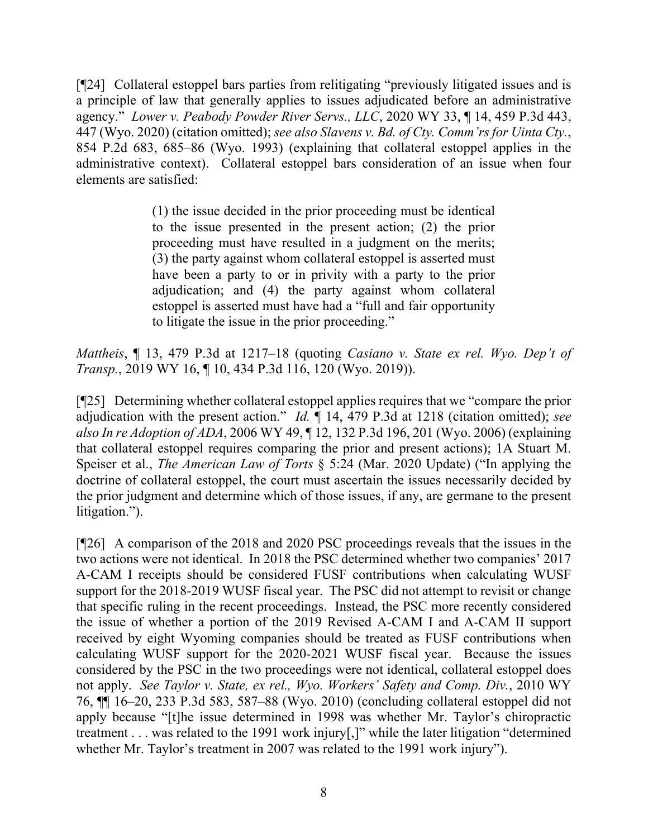[¶24] Collateral estoppel bars parties from relitigating "previously litigated issues and is a principle of law that generally applies to issues adjudicated before an administrative agency." *Lower v. Peabody Powder River Servs., LLC*, 2020 WY 33, ¶ 14, 459 P.3d 443, 447 (Wyo. 2020) (citation omitted); *see also Slavens v. Bd. of Cty. Comm'rs for Uinta Cty.*, 854 P.2d 683, 685–86 (Wyo. 1993) (explaining that collateral estoppel applies in the administrative context). Collateral estoppel bars consideration of an issue when four elements are satisfied:

> (1) the issue decided in the prior proceeding must be identical to the issue presented in the present action; (2) the prior proceeding must have resulted in a judgment on the merits; (3) the party against whom collateral estoppel is asserted must have been a party to or in privity with a party to the prior adjudication; and (4) the party against whom collateral estoppel is asserted must have had a "full and fair opportunity to litigate the issue in the prior proceeding."

*Mattheis*, ¶ 13, 479 P.3d at 1217–18 (quoting *Casiano v. State ex rel. Wyo. Dep't of Transp.*, 2019 WY 16, ¶ 10, 434 P.3d 116, 120 (Wyo. 2019)).

[¶25] Determining whether collateral estoppel applies requires that we "compare the prior adjudication with the present action." *Id.* ¶ 14, 479 P.3d at 1218 (citation omitted); *see also In re Adoption of ADA*, 2006 WY 49, ¶ 12, 132 P.3d 196, 201 (Wyo. 2006) (explaining that collateral estoppel requires comparing the prior and present actions); 1A Stuart M. Speiser et al., *The American Law of Torts* § 5:24 (Mar. 2020 Update) ("In applying the doctrine of collateral estoppel, the court must ascertain the issues necessarily decided by the prior judgment and determine which of those issues, if any, are germane to the present litigation.").

[¶26] A comparison of the 2018 and 2020 PSC proceedings reveals that the issues in the two actions were not identical. In 2018 the PSC determined whether two companies' 2017 A-CAM I receipts should be considered FUSF contributions when calculating WUSF support for the 2018-2019 WUSF fiscal year. The PSC did not attempt to revisit or change that specific ruling in the recent proceedings. Instead, the PSC more recently considered the issue of whether a portion of the 2019 Revised A-CAM I and A-CAM II support received by eight Wyoming companies should be treated as FUSF contributions when calculating WUSF support for the 2020-2021 WUSF fiscal year. Because the issues considered by the PSC in the two proceedings were not identical, collateral estoppel does not apply. *See Taylor v. State, ex rel., Wyo. Workers' Safety and Comp. Div.*, 2010 WY 76, ¶¶ 16–20, 233 P.3d 583, 587–88 (Wyo. 2010) (concluding collateral estoppel did not apply because "[t]he issue determined in 1998 was whether Mr. Taylor's chiropractic treatment . . . was related to the 1991 work injury[,]" while the later litigation "determined whether Mr. Taylor's treatment in 2007 was related to the 1991 work injury").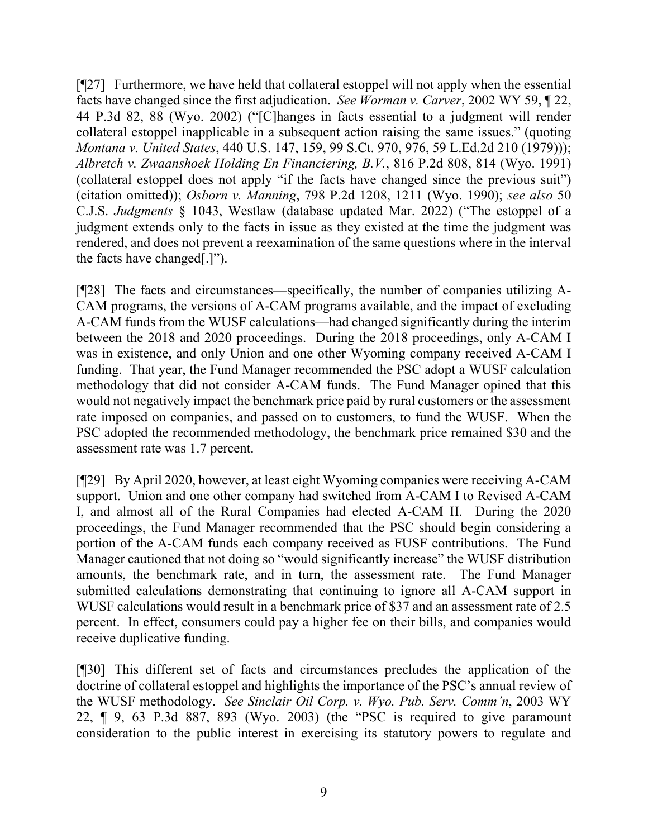[¶27] Furthermore, we have held that collateral estoppel will not apply when the essential facts have changed since the first adjudication. *See Worman v. Carver*, 2002 WY 59, ¶ 22, 44 P.3d 82, 88 (Wyo. 2002) ("[C]hanges in facts essential to a judgment will render collateral estoppel inapplicable in a subsequent action raising the same issues." (quoting *Montana v. United States*, 440 U.S. 147, 159, 99 S.Ct. 970, 976, 59 L.Ed.2d 210 (1979))); *Albretch v. Zwaanshoek Holding En Financiering, B.V.*, 816 P.2d 808, 814 (Wyo. 1991) (collateral estoppel does not apply "if the facts have changed since the previous suit") (citation omitted)); *Osborn v. Manning*, 798 P.2d 1208, 1211 (Wyo. 1990); *see also* 50 C.J.S. *Judgments* § 1043, Westlaw (database updated Mar. 2022) ("The estoppel of a judgment extends only to the facts in issue as they existed at the time the judgment was rendered, and does not prevent a reexamination of the same questions where in the interval the facts have changed[.]").

[¶28] The facts and circumstances—specifically, the number of companies utilizing A-CAM programs, the versions of A-CAM programs available, and the impact of excluding A-CAM funds from the WUSF calculations—had changed significantly during the interim between the 2018 and 2020 proceedings. During the 2018 proceedings, only A-CAM I was in existence, and only Union and one other Wyoming company received A-CAM I funding. That year, the Fund Manager recommended the PSC adopt a WUSF calculation methodology that did not consider A-CAM funds. The Fund Manager opined that this would not negatively impact the benchmark price paid by rural customers or the assessment rate imposed on companies, and passed on to customers, to fund the WUSF. When the PSC adopted the recommended methodology, the benchmark price remained \$30 and the assessment rate was 1.7 percent.

[¶29] By April 2020, however, at least eight Wyoming companies were receiving A-CAM support. Union and one other company had switched from A-CAM I to Revised A-CAM I, and almost all of the Rural Companies had elected A-CAM II. During the 2020 proceedings, the Fund Manager recommended that the PSC should begin considering a portion of the A-CAM funds each company received as FUSF contributions. The Fund Manager cautioned that not doing so "would significantly increase" the WUSF distribution amounts, the benchmark rate, and in turn, the assessment rate. The Fund Manager submitted calculations demonstrating that continuing to ignore all A-CAM support in WUSF calculations would result in a benchmark price of \$37 and an assessment rate of 2.5 percent. In effect, consumers could pay a higher fee on their bills, and companies would receive duplicative funding.

[¶30] This different set of facts and circumstances precludes the application of the doctrine of collateral estoppel and highlights the importance of the PSC's annual review of the WUSF methodology. *See Sinclair Oil Corp. v. Wyo. Pub. Serv. Comm'n*, 2003 WY 22, ¶ 9, 63 P.3d 887, 893 (Wyo. 2003) (the "PSC is required to give paramount consideration to the public interest in exercising its statutory powers to regulate and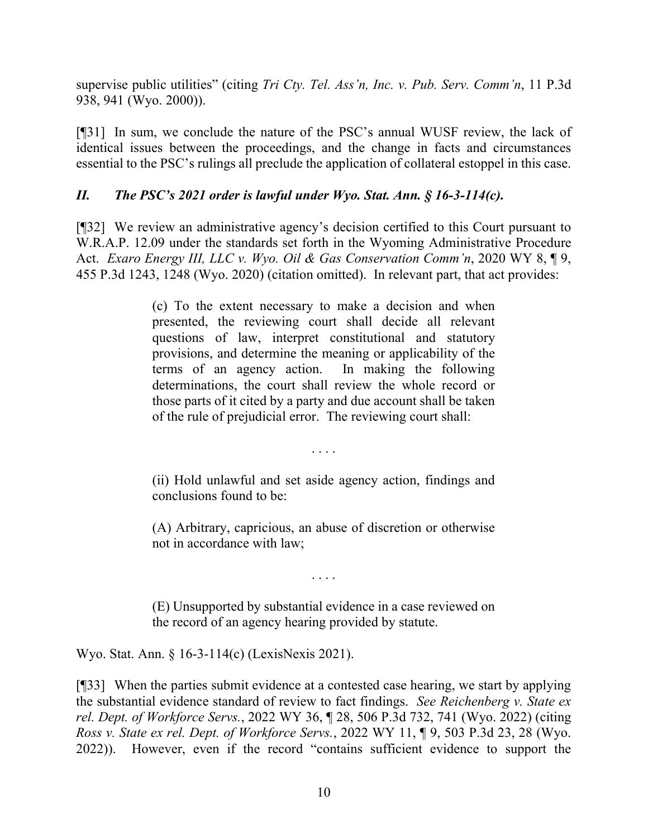supervise public utilities" (citing *Tri Cty. Tel. Ass'n, Inc. v. Pub. Serv. Comm'n*, 11 P.3d 938, 941 (Wyo. 2000)).

[¶31] In sum, we conclude the nature of the PSC's annual WUSF review, the lack of identical issues between the proceedings, and the change in facts and circumstances essential to the PSC's rulings all preclude the application of collateral estoppel in this case.

## *II. The PSC's 2021 order is lawful under Wyo. Stat. Ann. § 16-3-114(c).*

[¶32] We review an administrative agency's decision certified to this Court pursuant to W.R.A.P. 12.09 under the standards set forth in the Wyoming Administrative Procedure Act. *Exaro Energy III, LLC v. Wyo. Oil & Gas Conservation Comm'n*, 2020 WY 8, ¶ 9, 455 P.3d 1243, 1248 (Wyo. 2020) (citation omitted). In relevant part, that act provides:

> (c) To the extent necessary to make a decision and when presented, the reviewing court shall decide all relevant questions of law, interpret constitutional and statutory provisions, and determine the meaning or applicability of the terms of an agency action. In making the following determinations, the court shall review the whole record or those parts of it cited by a party and due account shall be taken of the rule of prejudicial error. The reviewing court shall:

> > . . . .

(ii) Hold unlawful and set aside agency action, findings and conclusions found to be:

(A) Arbitrary, capricious, an abuse of discretion or otherwise not in accordance with law;

. . . .

(E) Unsupported by substantial evidence in a case reviewed on the record of an agency hearing provided by statute.

Wyo. Stat. Ann. § 16-3-114(c) (LexisNexis 2021).

[¶33] When the parties submit evidence at a contested case hearing, we start by applying the substantial evidence standard of review to fact findings. *See Reichenberg v. State ex rel. Dept. of Workforce Servs.*, 2022 WY 36, ¶ 28, 506 P.3d 732, 741 (Wyo. 2022) (citing *Ross v. State ex rel. Dept. of Workforce Servs.*, 2022 WY 11, ¶ 9, 503 P.3d 23, 28 (Wyo. 2022)). However, even if the record "contains sufficient evidence to support the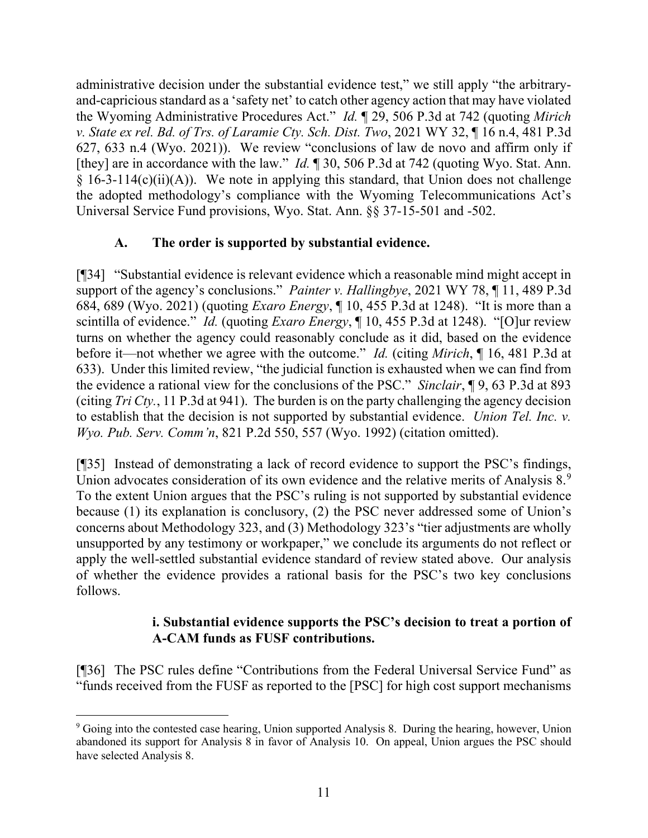administrative decision under the substantial evidence test," we still apply "the arbitraryand-capricious standard as a 'safety net' to catch other agency action that may have violated the Wyoming Administrative Procedures Act." *Id.* ¶ 29, 506 P.3d at 742 (quoting *Mirich v. State ex rel. Bd. of Trs. of Laramie Cty. Sch. Dist. Two*, 2021 WY 32, ¶ 16 n.4, 481 P.3d 627, 633 n.4 (Wyo. 2021)). We review "conclusions of law de novo and affirm only if [they] are in accordance with the law." *Id.* ¶ 30, 506 P.3d at 742 (quoting Wyo. Stat. Ann.  $\S$  16-3-114(c)(ii)(A)). We note in applying this standard, that Union does not challenge the adopted methodology's compliance with the Wyoming Telecommunications Act's Universal Service Fund provisions, Wyo. Stat. Ann. §§ 37-15-501 and -502.

### **A. The order is supported by substantial evidence.**

[¶34] "Substantial evidence is relevant evidence which a reasonable mind might accept in support of the agency's conclusions." *Painter v. Hallingbye*, 2021 WY 78, ¶ 11, 489 P.3d 684, 689 (Wyo. 2021) (quoting *Exaro Energy*, ¶ 10, 455 P.3d at 1248). "It is more than a scintilla of evidence." *Id.* (quoting *Exaro Energy*, ¶ 10, 455 P.3d at 1248). "[O]ur review turns on whether the agency could reasonably conclude as it did, based on the evidence before it—not whether we agree with the outcome." *Id.* (citing *Mirich*, ¶ 16, 481 P.3d at 633). Under this limited review, "the judicial function is exhausted when we can find from the evidence a rational view for the conclusions of the PSC." *Sinclair*, ¶ 9, 63 P.3d at 893 (citing *Tri Cty.*, 11 P.3d at 941). The burden is on the party challenging the agency decision to establish that the decision is not supported by substantial evidence. *Union Tel. Inc. v. Wyo. Pub. Serv. Comm'n*, 821 P.2d 550, 557 (Wyo. 1992) (citation omitted).

[¶35] Instead of demonstrating a lack of record evidence to support the PSC's findings, Union advocates consideration of its own evidence and the relative merits of Analysis  $8.9$  $8.9$ To the extent Union argues that the PSC's ruling is not supported by substantial evidence because (1) its explanation is conclusory, (2) the PSC never addressed some of Union's concerns about Methodology 323, and (3) Methodology 323's "tier adjustments are wholly unsupported by any testimony or workpaper," we conclude its arguments do not reflect or apply the well-settled substantial evidence standard of review stated above. Our analysis of whether the evidence provides a rational basis for the PSC's two key conclusions follows.

### **i. Substantial evidence supports the PSC's decision to treat a portion of A-CAM funds as FUSF contributions.**

[¶36] The PSC rules define "Contributions from the Federal Universal Service Fund" as "funds received from the FUSF as reported to the [PSC] for high cost support mechanisms

<span id="page-12-0"></span><sup>&</sup>lt;sup>9</sup> Going into the contested case hearing, Union supported Analysis 8. During the hearing, however, Union abandoned its support for Analysis 8 in favor of Analysis 10. On appeal, Union argues the PSC should have selected Analysis 8.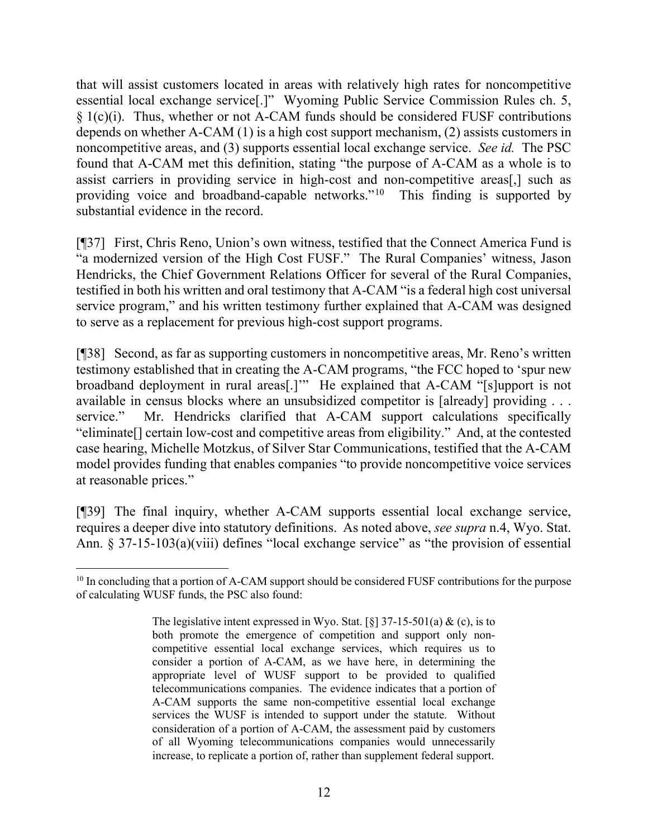that will assist customers located in areas with relatively high rates for noncompetitive essential local exchange service[.]" Wyoming Public Service Commission Rules ch. 5, § 1(c)(i). Thus, whether or not A-CAM funds should be considered FUSF contributions depends on whether A-CAM (1) is a high cost support mechanism, (2) assists customers in noncompetitive areas, and (3) supports essential local exchange service. *See id.* The PSC found that A-CAM met this definition, stating "the purpose of A-CAM as a whole is to assist carriers in providing service in high-cost and non-competitive areas[,] such as providing voice and broadband-capable networks."[10](#page-13-0) This finding is supported by substantial evidence in the record.

[¶37] First, Chris Reno, Union's own witness, testified that the Connect America Fund is "a modernized version of the High Cost FUSF." The Rural Companies' witness, Jason Hendricks, the Chief Government Relations Officer for several of the Rural Companies, testified in both his written and oral testimony that A-CAM "is a federal high cost universal service program," and his written testimony further explained that A-CAM was designed to serve as a replacement for previous high-cost support programs.

[¶38] Second, as far as supporting customers in noncompetitive areas, Mr. Reno's written testimony established that in creating the A-CAM programs, "the FCC hoped to 'spur new broadband deployment in rural areas[.]'" He explained that A-CAM "[s]upport is not available in census blocks where an unsubsidized competitor is [already] providing . . . service." Mr. Hendricks clarified that A-CAM support calculations specifically "eliminate[] certain low-cost and competitive areas from eligibility." And, at the contested case hearing, Michelle Motzkus, of Silver Star Communications, testified that the A-CAM model provides funding that enables companies "to provide noncompetitive voice services at reasonable prices."

[¶39] The final inquiry, whether A-CAM supports essential local exchange service, requires a deeper dive into statutory definitions. As noted above, *see supra* n.4, Wyo. Stat. Ann. § 37-15-103(a)(viii) defines "local exchange service" as "the provision of essential

<span id="page-13-0"></span> $10$  In concluding that a portion of A-CAM support should be considered FUSF contributions for the purpose of calculating WUSF funds, the PSC also found:

The legislative intent expressed in Wyo. Stat. [§]  $37-15-501(a) \&$  (c), is to both promote the emergence of competition and support only noncompetitive essential local exchange services, which requires us to consider a portion of A-CAM, as we have here, in determining the appropriate level of WUSF support to be provided to qualified telecommunications companies. The evidence indicates that a portion of A-CAM supports the same non-competitive essential local exchange services the WUSF is intended to support under the statute. Without consideration of a portion of A-CAM, the assessment paid by customers of all Wyoming telecommunications companies would unnecessarily increase, to replicate a portion of, rather than supplement federal support.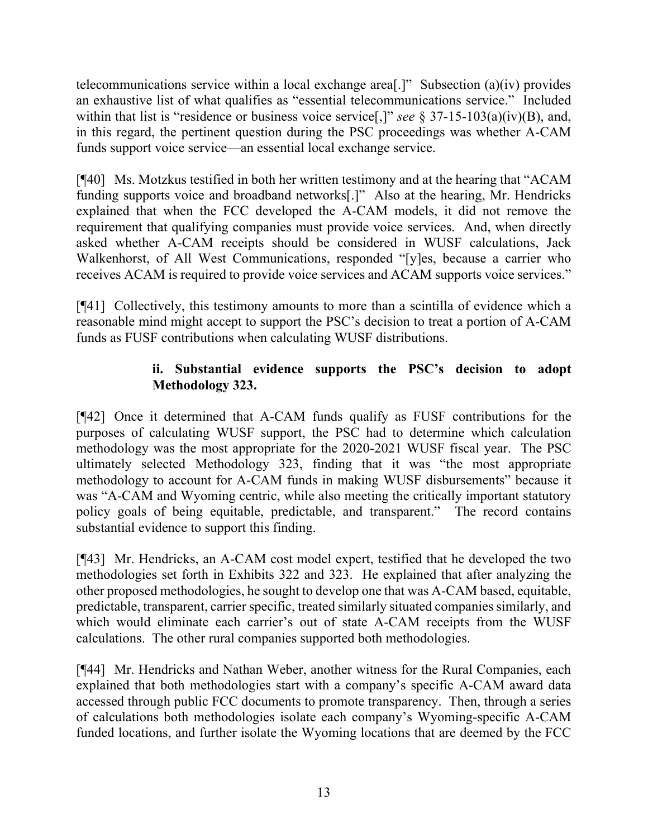telecommunications service within a local exchange area[.]" Subsection (a)(iv) provides an exhaustive list of what qualifies as "essential telecommunications service." Included within that list is "residence or business voice service[,]" *see* § 37-15-103(a)(iv)(B), and, in this regard, the pertinent question during the PSC proceedings was whether A-CAM funds support voice service—an essential local exchange service.

[¶40] Ms. Motzkus testified in both her written testimony and at the hearing that "ACAM funding supports voice and broadband networks[.]" Also at the hearing, Mr. Hendricks explained that when the FCC developed the A-CAM models, it did not remove the requirement that qualifying companies must provide voice services. And, when directly asked whether A-CAM receipts should be considered in WUSF calculations, Jack Walkenhorst, of All West Communications, responded "[y]es, because a carrier who receives ACAM is required to provide voice services and ACAM supports voice services."

[¶41] Collectively, this testimony amounts to more than a scintilla of evidence which a reasonable mind might accept to support the PSC's decision to treat a portion of A-CAM funds as FUSF contributions when calculating WUSF distributions.

### **ii. Substantial evidence supports the PSC's decision to adopt Methodology 323.**

[¶42] Once it determined that A-CAM funds qualify as FUSF contributions for the purposes of calculating WUSF support, the PSC had to determine which calculation methodology was the most appropriate for the 2020-2021 WUSF fiscal year. The PSC ultimately selected Methodology 323, finding that it was "the most appropriate methodology to account for A-CAM funds in making WUSF disbursements" because it was "A-CAM and Wyoming centric, while also meeting the critically important statutory policy goals of being equitable, predictable, and transparent." The record contains substantial evidence to support this finding.

[¶43] Mr. Hendricks, an A-CAM cost model expert, testified that he developed the two methodologies set forth in Exhibits 322 and 323. He explained that after analyzing the other proposed methodologies, he sought to develop one that was A-CAM based, equitable, predictable, transparent, carrier specific, treated similarly situated companies similarly, and which would eliminate each carrier's out of state A-CAM receipts from the WUSF calculations. The other rural companies supported both methodologies.

[¶44] Mr. Hendricks and Nathan Weber, another witness for the Rural Companies, each explained that both methodologies start with a company's specific A-CAM award data accessed through public FCC documents to promote transparency. Then, through a series of calculations both methodologies isolate each company's Wyoming-specific A-CAM funded locations, and further isolate the Wyoming locations that are deemed by the FCC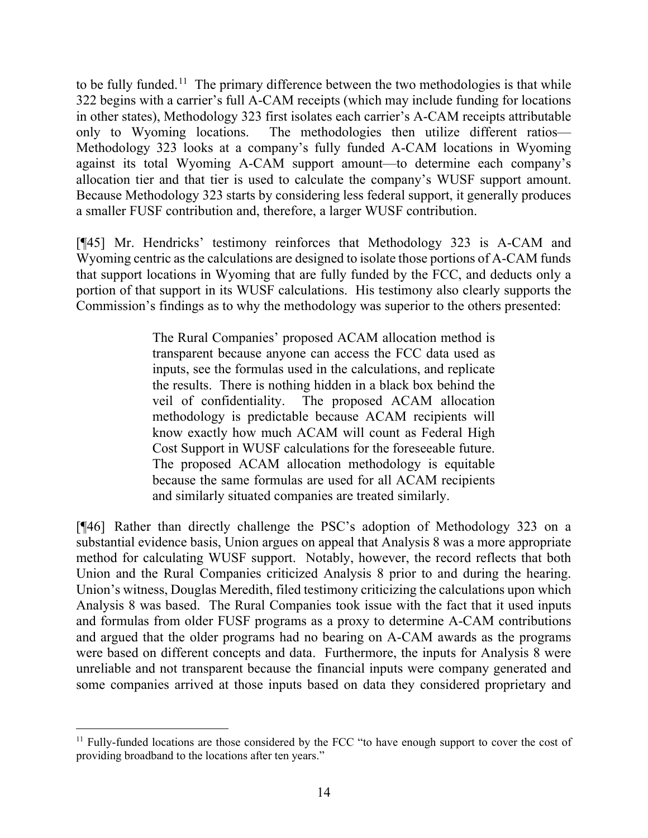to be fully funded.<sup>[11](#page-15-0)</sup> The primary difference between the two methodologies is that while 322 begins with a carrier's full A-CAM receipts (which may include funding for locations in other states), Methodology 323 first isolates each carrier's A-CAM receipts attributable only to Wyoming locations. The methodologies then utilize different ratios— Methodology 323 looks at a company's fully funded A-CAM locations in Wyoming against its total Wyoming A-CAM support amount—to determine each company's allocation tier and that tier is used to calculate the company's WUSF support amount. Because Methodology 323 starts by considering less federal support, it generally produces a smaller FUSF contribution and, therefore, a larger WUSF contribution.

[¶45] Mr. Hendricks' testimony reinforces that Methodology 323 is A-CAM and Wyoming centric as the calculations are designed to isolate those portions of A-CAM funds that support locations in Wyoming that are fully funded by the FCC, and deducts only a portion of that support in its WUSF calculations. His testimony also clearly supports the Commission's findings as to why the methodology was superior to the others presented:

> The Rural Companies' proposed ACAM allocation method is transparent because anyone can access the FCC data used as inputs, see the formulas used in the calculations, and replicate the results. There is nothing hidden in a black box behind the veil of confidentiality. The proposed ACAM allocation methodology is predictable because ACAM recipients will know exactly how much ACAM will count as Federal High Cost Support in WUSF calculations for the foreseeable future. The proposed ACAM allocation methodology is equitable because the same formulas are used for all ACAM recipients and similarly situated companies are treated similarly.

[¶46] Rather than directly challenge the PSC's adoption of Methodology 323 on a substantial evidence basis, Union argues on appeal that Analysis 8 was a more appropriate method for calculating WUSF support. Notably, however, the record reflects that both Union and the Rural Companies criticized Analysis 8 prior to and during the hearing. Union's witness, Douglas Meredith, filed testimony criticizing the calculations upon which Analysis 8 was based. The Rural Companies took issue with the fact that it used inputs and formulas from older FUSF programs as a proxy to determine A-CAM contributions and argued that the older programs had no bearing on A-CAM awards as the programs were based on different concepts and data. Furthermore, the inputs for Analysis 8 were unreliable and not transparent because the financial inputs were company generated and some companies arrived at those inputs based on data they considered proprietary and

<span id="page-15-0"></span><sup>&</sup>lt;sup>11</sup> Fully-funded locations are those considered by the FCC "to have enough support to cover the cost of providing broadband to the locations after ten years."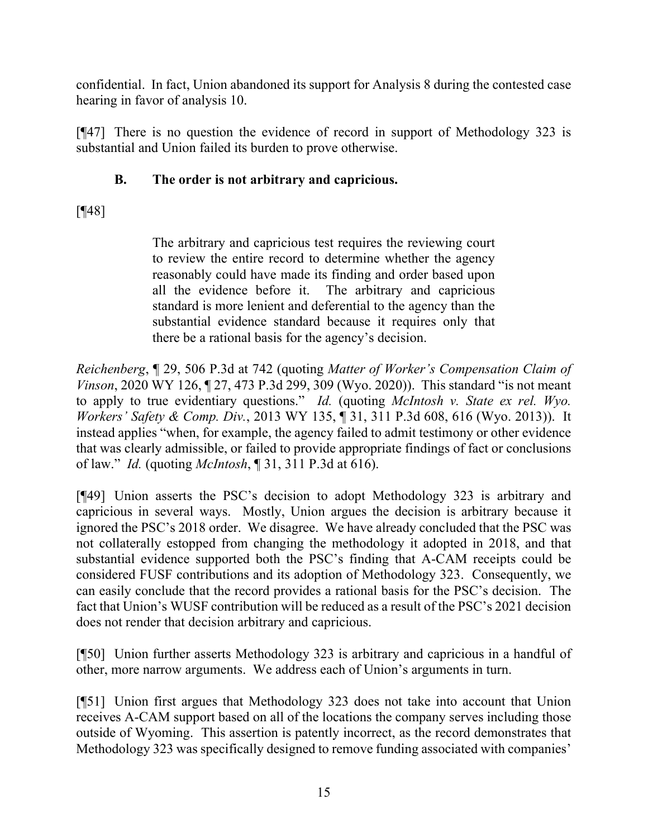confidential. In fact, Union abandoned its support for Analysis 8 during the contested case hearing in favor of analysis 10.

[¶47] There is no question the evidence of record in support of Methodology 323 is substantial and Union failed its burden to prove otherwise.

## **B. The order is not arbitrary and capricious.**

# [**[**48]

The arbitrary and capricious test requires the reviewing court to review the entire record to determine whether the agency reasonably could have made its finding and order based upon all the evidence before it. The arbitrary and capricious standard is more lenient and deferential to the agency than the substantial evidence standard because it requires only that there be a rational basis for the agency's decision.

*Reichenberg*, ¶ 29, 506 P.3d at 742 (quoting *Matter of Worker's Compensation Claim of Vinson*, 2020 WY 126, ¶ 27, 473 P.3d 299, 309 (Wyo. 2020)). This standard "is not meant to apply to true evidentiary questions." *Id.* (quoting *McIntosh v. State ex rel. Wyo. Workers' Safety & Comp. Div.*, 2013 WY 135, ¶ 31, 311 P.3d 608, 616 (Wyo. 2013)). It instead applies "when, for example, the agency failed to admit testimony or other evidence that was clearly admissible, or failed to provide appropriate findings of fact or conclusions of law." *Id.* (quoting *McIntosh*, ¶ 31, 311 P.3d at 616).

[¶49] Union asserts the PSC's decision to adopt Methodology 323 is arbitrary and capricious in several ways. Mostly, Union argues the decision is arbitrary because it ignored the PSC's 2018 order. We disagree. We have already concluded that the PSC was not collaterally estopped from changing the methodology it adopted in 2018, and that substantial evidence supported both the PSC's finding that A-CAM receipts could be considered FUSF contributions and its adoption of Methodology 323. Consequently, we can easily conclude that the record provides a rational basis for the PSC's decision. The fact that Union's WUSF contribution will be reduced as a result of the PSC's 2021 decision does not render that decision arbitrary and capricious.

[¶50] Union further asserts Methodology 323 is arbitrary and capricious in a handful of other, more narrow arguments. We address each of Union's arguments in turn.

[¶51] Union first argues that Methodology 323 does not take into account that Union receives A-CAM support based on all of the locations the company serves including those outside of Wyoming. This assertion is patently incorrect, as the record demonstrates that Methodology 323 was specifically designed to remove funding associated with companies'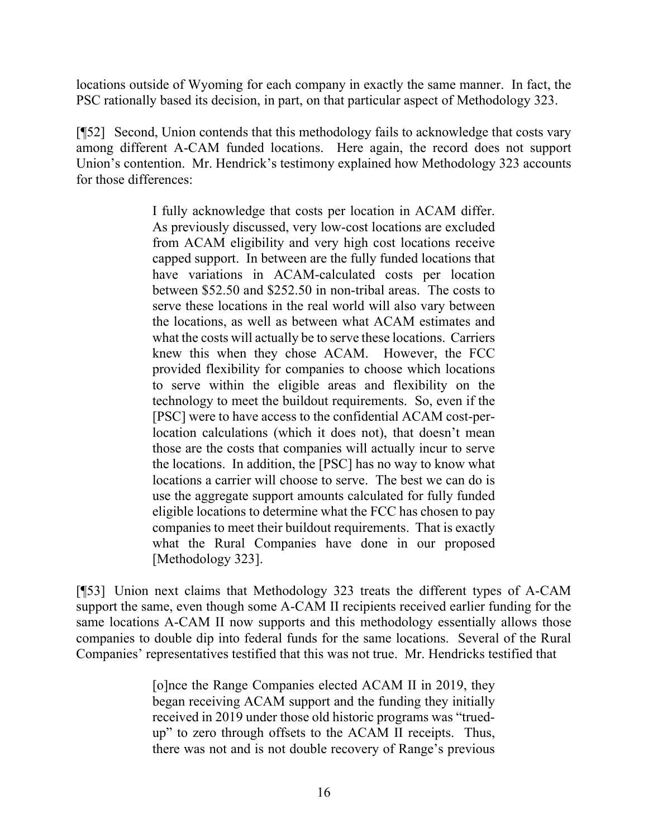locations outside of Wyoming for each company in exactly the same manner. In fact, the PSC rationally based its decision, in part, on that particular aspect of Methodology 323.

[¶52] Second, Union contends that this methodology fails to acknowledge that costs vary among different A-CAM funded locations. Here again, the record does not support Union's contention. Mr. Hendrick's testimony explained how Methodology 323 accounts for those differences:

> I fully acknowledge that costs per location in ACAM differ. As previously discussed, very low-cost locations are excluded from ACAM eligibility and very high cost locations receive capped support. In between are the fully funded locations that have variations in ACAM-calculated costs per location between \$52.50 and \$252.50 in non-tribal areas. The costs to serve these locations in the real world will also vary between the locations, as well as between what ACAM estimates and what the costs will actually be to serve these locations. Carriers knew this when they chose ACAM. However, the FCC provided flexibility for companies to choose which locations to serve within the eligible areas and flexibility on the technology to meet the buildout requirements. So, even if the [PSC] were to have access to the confidential ACAM cost-perlocation calculations (which it does not), that doesn't mean those are the costs that companies will actually incur to serve the locations. In addition, the [PSC] has no way to know what locations a carrier will choose to serve. The best we can do is use the aggregate support amounts calculated for fully funded eligible locations to determine what the FCC has chosen to pay companies to meet their buildout requirements. That is exactly what the Rural Companies have done in our proposed [Methodology 323].

[¶53] Union next claims that Methodology 323 treats the different types of A-CAM support the same, even though some A-CAM II recipients received earlier funding for the same locations A-CAM II now supports and this methodology essentially allows those companies to double dip into federal funds for the same locations. Several of the Rural Companies' representatives testified that this was not true. Mr. Hendricks testified that

> [o]nce the Range Companies elected ACAM II in 2019, they began receiving ACAM support and the funding they initially received in 2019 under those old historic programs was "truedup" to zero through offsets to the ACAM II receipts. Thus, there was not and is not double recovery of Range's previous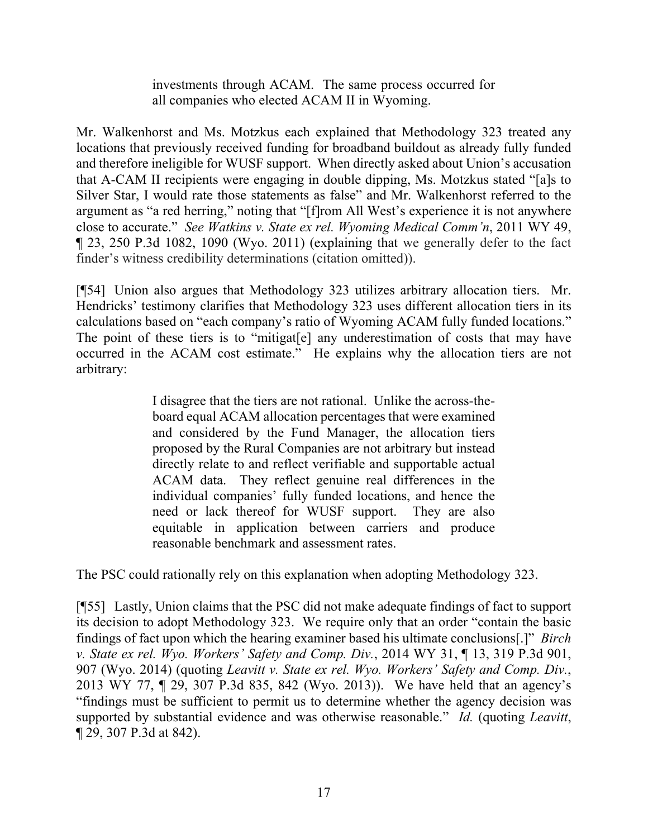investments through ACAM. The same process occurred for all companies who elected ACAM II in Wyoming.

Mr. Walkenhorst and Ms. Motzkus each explained that Methodology 323 treated any locations that previously received funding for broadband buildout as already fully funded and therefore ineligible for WUSF support. When directly asked about Union's accusation that A-CAM II recipients were engaging in double dipping, Ms. Motzkus stated "[a]s to Silver Star, I would rate those statements as false" and Mr. Walkenhorst referred to the argument as "a red herring," noting that "[f]rom All West's experience it is not anywhere close to accurate." *See Watkins v. State ex rel. Wyoming Medical Comm'n*, 2011 WY 49, ¶ 23, 250 P.3d 1082, 1090 (Wyo. 2011) (explaining that we generally defer to the fact finder's witness credibility determinations (citation omitted)).

[¶54] Union also argues that Methodology 323 utilizes arbitrary allocation tiers. Mr. Hendricks' testimony clarifies that Methodology 323 uses different allocation tiers in its calculations based on "each company's ratio of Wyoming ACAM fully funded locations." The point of these tiers is to "mitigat[e] any underestimation of costs that may have occurred in the ACAM cost estimate." He explains why the allocation tiers are not arbitrary:

> I disagree that the tiers are not rational. Unlike the across-theboard equal ACAM allocation percentages that were examined and considered by the Fund Manager, the allocation tiers proposed by the Rural Companies are not arbitrary but instead directly relate to and reflect verifiable and supportable actual ACAM data. They reflect genuine real differences in the individual companies' fully funded locations, and hence the need or lack thereof for WUSF support. They are also equitable in application between carriers and produce reasonable benchmark and assessment rates.

The PSC could rationally rely on this explanation when adopting Methodology 323.

[¶55] Lastly, Union claims that the PSC did not make adequate findings of fact to support its decision to adopt Methodology 323. We require only that an order "contain the basic findings of fact upon which the hearing examiner based his ultimate conclusions[.]" *Birch v. State ex rel. Wyo. Workers' Safety and Comp. Div.*, 2014 WY 31, ¶ 13, 319 P.3d 901, 907 (Wyo. 2014) (quoting *Leavitt v. State ex rel. Wyo. Workers' Safety and Comp. Div.*, 2013 WY 77, ¶ 29, 307 P.3d 835, 842 (Wyo. 2013)). We have held that an agency's "findings must be sufficient to permit us to determine whether the agency decision was supported by substantial evidence and was otherwise reasonable." *Id.* (quoting *Leavitt*, ¶ 29, 307 P.3d at 842).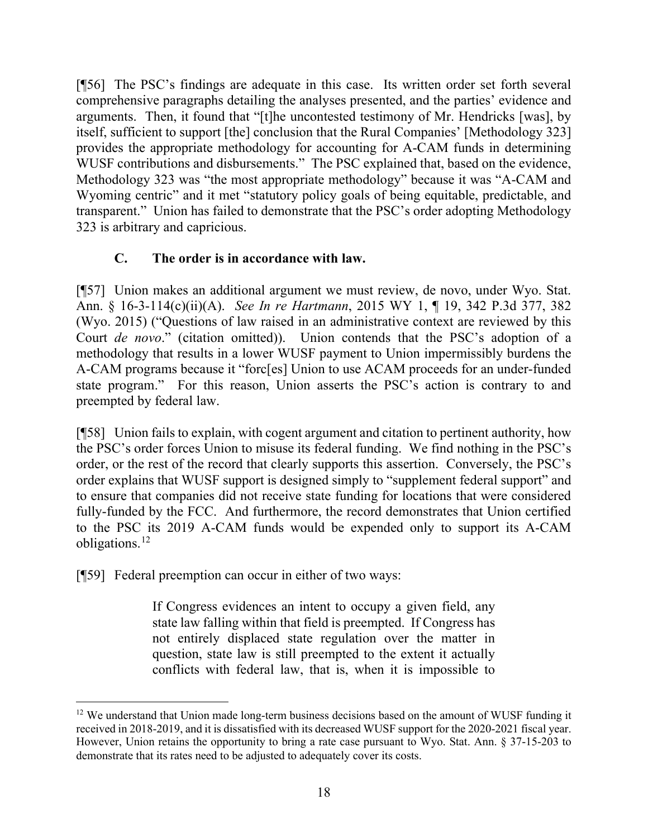[¶56] The PSC's findings are adequate in this case. Its written order set forth several comprehensive paragraphs detailing the analyses presented, and the parties' evidence and arguments. Then, it found that "[t]he uncontested testimony of Mr. Hendricks [was], by itself, sufficient to support [the] conclusion that the Rural Companies' [Methodology 323] provides the appropriate methodology for accounting for A-CAM funds in determining WUSF contributions and disbursements." The PSC explained that, based on the evidence, Methodology 323 was "the most appropriate methodology" because it was "A-CAM and Wyoming centric" and it met "statutory policy goals of being equitable, predictable, and transparent." Union has failed to demonstrate that the PSC's order adopting Methodology 323 is arbitrary and capricious.

### **C. The order is in accordance with law.**

[¶57] Union makes an additional argument we must review, de novo, under Wyo. Stat. Ann. § 16-3-114(c)(ii)(A). *See In re Hartmann*, 2015 WY 1, ¶ 19, 342 P.3d 377, 382 (Wyo. 2015) ("Questions of law raised in an administrative context are reviewed by this Court *de novo*." (citation omitted)).Union contends that the PSC's adoption of a methodology that results in a lower WUSF payment to Union impermissibly burdens the A-CAM programs because it "forc[es] Union to use ACAM proceeds for an under-funded state program." For this reason, Union asserts the PSC's action is contrary to and preempted by federal law.

[¶58] Union fails to explain, with cogent argument and citation to pertinent authority, how the PSC's order forces Union to misuse its federal funding. We find nothing in the PSC's order, or the rest of the record that clearly supports this assertion. Conversely, the PSC's order explains that WUSF support is designed simply to "supplement federal support" and to ensure that companies did not receive state funding for locations that were considered fully-funded by the FCC. And furthermore, the record demonstrates that Union certified to the PSC its 2019 A-CAM funds would be expended only to support its A-CAM obligations.[12](#page-19-0)

[¶59] Federal preemption can occur in either of two ways:

If Congress evidences an intent to occupy a given field, any state law falling within that field is preempted. If Congress has not entirely displaced state regulation over the matter in question, state law is still preempted to the extent it actually conflicts with federal law, that is, when it is impossible to

<span id="page-19-0"></span><sup>&</sup>lt;sup>12</sup> We understand that Union made long-term business decisions based on the amount of WUSF funding it received in 2018-2019, and it is dissatisfied with its decreased WUSF support for the 2020-2021 fiscal year. However, Union retains the opportunity to bring a rate case pursuant to Wyo. Stat. Ann. § 37-15-203 to demonstrate that its rates need to be adjusted to adequately cover its costs.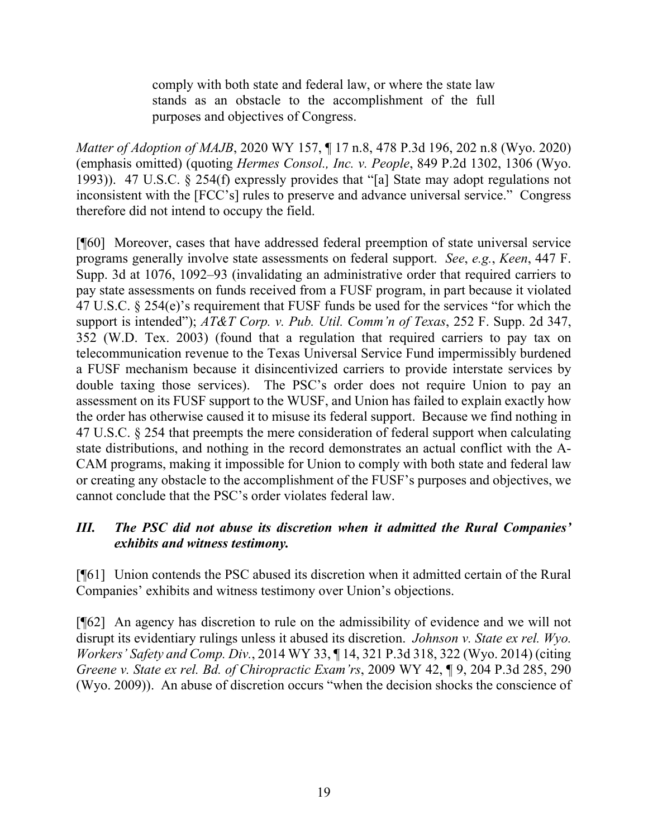comply with both state and federal law, or where the state law stands as an obstacle to the accomplishment of the full purposes and objectives of Congress.

*Matter of Adoption of MAJB*, 2020 WY 157, ¶ 17 n.8, 478 P.3d 196, 202 n.8 (Wyo. 2020) (emphasis omitted) (quoting *Hermes Consol., Inc. v. People*, 849 P.2d 1302, 1306 (Wyo. 1993)). 47 U.S.C. § 254(f) expressly provides that "[a] State may adopt regulations not inconsistent with the [FCC's] rules to preserve and advance universal service." Congress therefore did not intend to occupy the field.

[¶60] Moreover, cases that have addressed federal preemption of state universal service programs generally involve state assessments on federal support. *See*, *e.g.*, *Keen*, 447 F. Supp. 3d at 1076, 1092–93 (invalidating an administrative order that required carriers to pay state assessments on funds received from a FUSF program, in part because it violated 47 U.S.C. § 254(e)'s requirement that FUSF funds be used for the services "for which the support is intended"); *AT&T Corp. v. Pub. Util. Comm'n of Texas*, 252 F. Supp. 2d 347, 352 (W.D. Tex. 2003) (found that a regulation that required carriers to pay tax on telecommunication revenue to the Texas Universal Service Fund impermissibly burdened a FUSF mechanism because it disincentivized carriers to provide interstate services by double taxing those services). The PSC's order does not require Union to pay an assessment on its FUSF support to the WUSF, and Union has failed to explain exactly how the order has otherwise caused it to misuse its federal support. Because we find nothing in 47 U.S.C. § 254 that preempts the mere consideration of federal support when calculating state distributions, and nothing in the record demonstrates an actual conflict with the A-CAM programs, making it impossible for Union to comply with both state and federal law or creating any obstacle to the accomplishment of the FUSF's purposes and objectives, we cannot conclude that the PSC's order violates federal law.

### *III. The PSC did not abuse its discretion when it admitted the Rural Companies' exhibits and witness testimony.*

[¶61] Union contends the PSC abused its discretion when it admitted certain of the Rural Companies' exhibits and witness testimony over Union's objections.

[¶62] An agency has discretion to rule on the admissibility of evidence and we will not disrupt its evidentiary rulings unless it abused its discretion. *Johnson v. State ex rel. Wyo. Workers' Safety and Comp. Div.*, 2014 WY 33, ¶ 14, 321 P.3d 318, 322 (Wyo. 2014) (citing *Greene v. State ex rel. Bd. of Chiropractic Exam'rs*, 2009 WY 42, ¶ 9, 204 P.3d 285, 290 (Wyo. 2009)). An abuse of discretion occurs "when the decision shocks the conscience of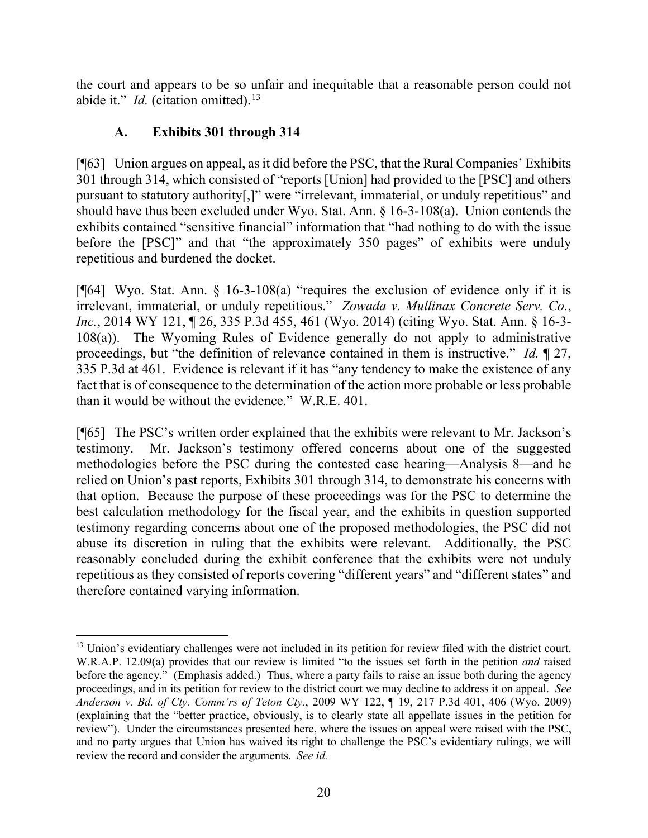the court and appears to be so unfair and inequitable that a reasonable person could not abide it." *Id.* (citation omitted).<sup>[13](#page-21-0)</sup>

### **A. Exhibits 301 through 314**

[¶63] Union argues on appeal, as it did before the PSC, that the Rural Companies' Exhibits 301 through 314, which consisted of "reports [Union] had provided to the [PSC] and others pursuant to statutory authority[,]" were "irrelevant, immaterial, or unduly repetitious" and should have thus been excluded under Wyo. Stat. Ann. § 16-3-108(a). Union contends the exhibits contained "sensitive financial" information that "had nothing to do with the issue before the [PSC]" and that "the approximately 350 pages" of exhibits were unduly repetitious and burdened the docket.

[¶64] Wyo. Stat. Ann. § 16-3-108(a) "requires the exclusion of evidence only if it is irrelevant, immaterial, or unduly repetitious." *Zowada v. Mullinax Concrete Serv. Co.*, *Inc.*, 2014 WY 121, ¶ 26, 335 P.3d 455, 461 (Wyo. 2014) (citing Wyo. Stat. Ann. § 16-3- 108(a)). The Wyoming Rules of Evidence generally do not apply to administrative proceedings, but "the definition of relevance contained in them is instructive." *Id.* ¶ 27, 335 P.3d at 461. Evidence is relevant if it has "any tendency to make the existence of any fact that is of consequence to the determination of the action more probable or less probable than it would be without the evidence." W.R.E. 401.

[¶65] The PSC's written order explained that the exhibits were relevant to Mr. Jackson's testimony. Mr. Jackson's testimony offered concerns about one of the suggested methodologies before the PSC during the contested case hearing—Analysis 8—and he relied on Union's past reports, Exhibits 301 through 314, to demonstrate his concerns with that option. Because the purpose of these proceedings was for the PSC to determine the best calculation methodology for the fiscal year, and the exhibits in question supported testimony regarding concerns about one of the proposed methodologies, the PSC did not abuse its discretion in ruling that the exhibits were relevant. Additionally, the PSC reasonably concluded during the exhibit conference that the exhibits were not unduly repetitious as they consisted of reports covering "different years" and "different states" and therefore contained varying information.

<span id="page-21-0"></span><sup>&</sup>lt;sup>13</sup> Union's evidentiary challenges were not included in its petition for review filed with the district court. W.R.A.P. 12.09(a) provides that our review is limited "to the issues set forth in the petition *and* raised before the agency." (Emphasis added.) Thus, where a party fails to raise an issue both during the agency proceedings, and in its petition for review to the district court we may decline to address it on appeal. *See Anderson v. Bd. of Cty. Comm'rs of Teton Cty.*, 2009 WY 122, ¶ 19, 217 P.3d 401, 406 (Wyo. 2009) (explaining that the "better practice, obviously, is to clearly state all appellate issues in the petition for review"). Under the circumstances presented here, where the issues on appeal were raised with the PSC, and no party argues that Union has waived its right to challenge the PSC's evidentiary rulings, we will review the record and consider the arguments. *See id.*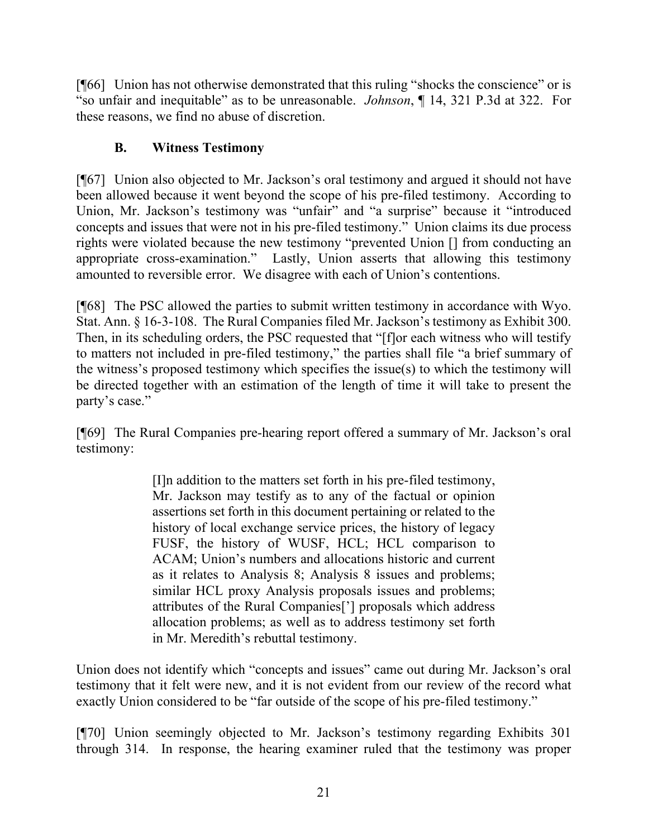[¶66] Union has not otherwise demonstrated that this ruling "shocks the conscience" or is "so unfair and inequitable" as to be unreasonable. *Johnson*, ¶ 14, 321 P.3d at 322. For these reasons, we find no abuse of discretion.

## **B. Witness Testimony**

[¶67] Union also objected to Mr. Jackson's oral testimony and argued it should not have been allowed because it went beyond the scope of his pre-filed testimony. According to Union, Mr. Jackson's testimony was "unfair" and "a surprise" because it "introduced concepts and issues that were not in his pre-filed testimony." Union claims its due process rights were violated because the new testimony "prevented Union [] from conducting an appropriate cross-examination." Lastly, Union asserts that allowing this testimony amounted to reversible error. We disagree with each of Union's contentions.

[¶68] The PSC allowed the parties to submit written testimony in accordance with Wyo. Stat. Ann. § 16-3-108. The Rural Companies filed Mr. Jackson's testimony as Exhibit 300. Then, in its scheduling orders, the PSC requested that "[f]or each witness who will testify to matters not included in pre-filed testimony," the parties shall file "a brief summary of the witness's proposed testimony which specifies the issue(s) to which the testimony will be directed together with an estimation of the length of time it will take to present the party's case."

[¶69] The Rural Companies pre-hearing report offered a summary of Mr. Jackson's oral testimony:

> [I]n addition to the matters set forth in his pre-filed testimony, Mr. Jackson may testify as to any of the factual or opinion assertions set forth in this document pertaining or related to the history of local exchange service prices, the history of legacy FUSF, the history of WUSF, HCL; HCL comparison to ACAM; Union's numbers and allocations historic and current as it relates to Analysis 8; Analysis 8 issues and problems; similar HCL proxy Analysis proposals issues and problems; attributes of the Rural Companies['] proposals which address allocation problems; as well as to address testimony set forth in Mr. Meredith's rebuttal testimony.

Union does not identify which "concepts and issues" came out during Mr. Jackson's oral testimony that it felt were new, and it is not evident from our review of the record what exactly Union considered to be "far outside of the scope of his pre-filed testimony."

[¶70] Union seemingly objected to Mr. Jackson's testimony regarding Exhibits 301 through 314. In response, the hearing examiner ruled that the testimony was proper